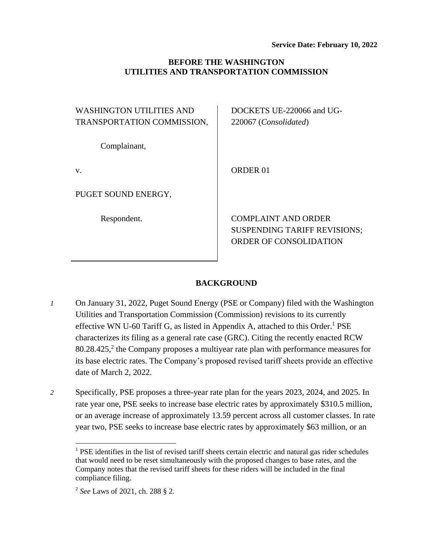### **BEFORE THE WASHINGTON UTILITIES AND TRANSPORTATION COMMISSION**

| WASHINGTON UTILITIES AND   |  |
|----------------------------|--|
| TRANSPORTATION COMMISSION, |  |

Complainant,

v.

PUGET SOUND ENERGY,

Respondent.

DOCKETS UE-220066 and UG-220067 (*Consolidated*)

ORDER 01

COMPLAINT AND ORDER SUSPENDING TARIFF REVISIONS; ORDER OF CONSOLIDATION

### **BACKGROUND**

*1* On January 31, 2022, Puget Sound Energy (PSE or Company) filed with the Washington Utilities and Transportation Commission (Commission) revisions to its currently effective WN U-60 Tariff G, as listed in Appendix A, attached to this Order.<sup>1</sup> PSE characterizes its filing as a general rate case (GRC). Citing the recently enacted RCW  $80.28.425$ , the Company proposes a multiyear rate plan with performance measures for its base electric rates. The Company's proposed revised tariff sheets provide an effective date of March 2, 2022.

*2* Specifically, PSE proposes a three-year rate plan for the years 2023, 2024, and 2025. In rate year one, PSE seeks to increase base electric rates by approximately \$310.5 million, or an average increase of approximately 13.59 percent across all customer classes. In rate year two, PSE seeks to increase base electric rates by approximately \$63 million, or an

 $<sup>1</sup>$  PSE identifies in the list of revised tariff sheets certain electric and natural gas rider schedules</sup> that would need to be reset simultaneously with the proposed changes to base rates, and the Company notes that the revised tariff sheets for these riders will be included in the final compliance filing.

<sup>2</sup> *See* Laws of 2021, ch. 288 § 2.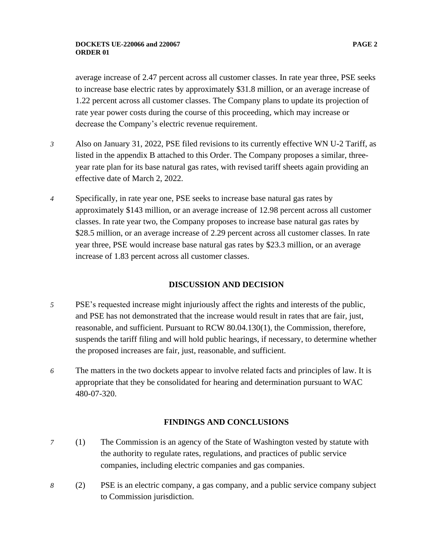average increase of 2.47 percent across all customer classes. In rate year three, PSE seeks to increase base electric rates by approximately \$31.8 million, or an average increase of 1.22 percent across all customer classes. The Company plans to update its projection of rate year power costs during the course of this proceeding, which may increase or decrease the Company's electric revenue requirement.

- *3* Also on January 31, 2022, PSE filed revisions to its currently effective WN U-2 Tariff, as listed in the appendix B attached to this Order. The Company proposes a similar, threeyear rate plan for its base natural gas rates, with revised tariff sheets again providing an effective date of March 2, 2022.
- *4* Specifically, in rate year one, PSE seeks to increase base natural gas rates by approximately \$143 million, or an average increase of 12.98 percent across all customer classes. In rate year two, the Company proposes to increase base natural gas rates by \$28.5 million, or an average increase of 2.29 percent across all customer classes. In rate year three, PSE would increase base natural gas rates by \$23.3 million, or an average increase of 1.83 percent across all customer classes.

### **DISCUSSION AND DECISION**

- *5* PSE's requested increase might injuriously affect the rights and interests of the public, and PSE has not demonstrated that the increase would result in rates that are fair, just, reasonable, and sufficient. Pursuant to RCW 80.04.130(1), the Commission, therefore, suspends the tariff filing and will hold public hearings, if necessary, to determine whether the proposed increases are fair, just, reasonable, and sufficient.
- *6* The matters in the two dockets appear to involve related facts and principles of law. It is appropriate that they be consolidated for hearing and determination pursuant to WAC 480-07-320.

# **FINDINGS AND CONCLUSIONS**

- *7* (1) The Commission is an agency of the State of Washington vested by statute with the authority to regulate rates, regulations, and practices of public service companies, including electric companies and gas companies.
- *8* (2) PSE is an electric company, a gas company, and a public service company subject to Commission jurisdiction.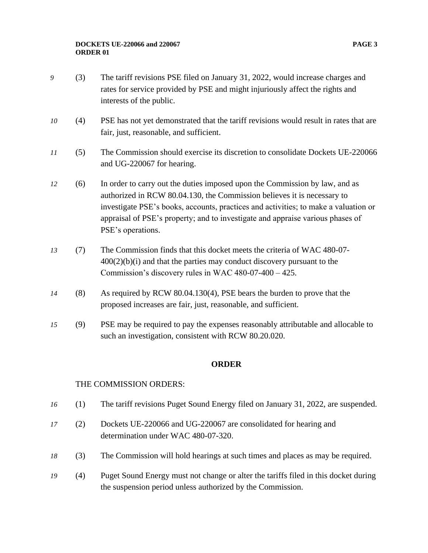- *9* (3) The tariff revisions PSE filed on January 31, 2022, would increase charges and rates for service provided by PSE and might injuriously affect the rights and interests of the public.
- 10 (4) PSE has not yet demonstrated that the tariff revisions would result in rates that are fair, just, reasonable, and sufficient.
- *11* (5) The Commission should exercise its discretion to consolidate Dockets UE-220066 and UG-220067 for hearing.
- *12* (6) In order to carry out the duties imposed upon the Commission by law, and as authorized in RCW 80.04.130, the Commission believes it is necessary to investigate PSE's books, accounts, practices and activities; to make a valuation or appraisal of PSE's property; and to investigate and appraise various phases of PSE's operations.
- *13* (7) The Commission finds that this docket meets the criteria of WAC 480-07-  $400(2)(b)(i)$  and that the parties may conduct discovery pursuant to the Commission's discovery rules in WAC 480-07-400 – 425.
- *14* (8) As required by RCW 80.04.130(4), PSE bears the burden to prove that the proposed increases are fair, just, reasonable, and sufficient.
- *15* (9) PSE may be required to pay the expenses reasonably attributable and allocable to such an investigation, consistent with RCW 80.20.020.

### **ORDER**

### THE COMMISSION ORDERS:

- *16* (1) The tariff revisions Puget Sound Energy filed on January 31, 2022, are suspended.
- *17* (2) Dockets UE-220066 and UG-220067 are consolidated for hearing and determination under WAC 480-07-320.
- *18* (3) The Commission will hold hearings at such times and places as may be required.
- *19* (4) Puget Sound Energy must not change or alter the tariffs filed in this docket during the suspension period unless authorized by the Commission.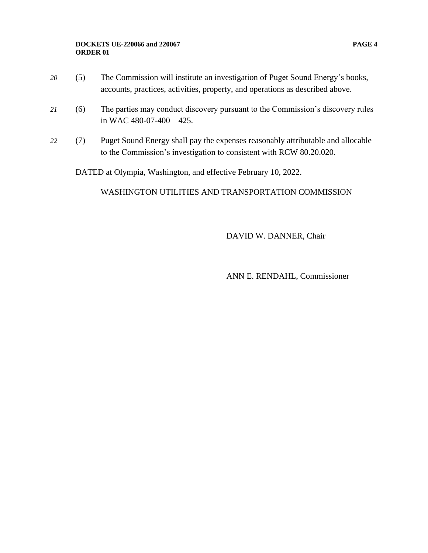#### **DOCKETS UE-220066 and 220067 PAGE 4 ORDER 01**

- *20* (5) The Commission will institute an investigation of Puget Sound Energy's books,
	- accounts, practices, activities, property, and operations as described above.
- *21* (6) The parties may conduct discovery pursuant to the Commission's discovery rules in WAC 480-07-400 – 425.
- *22* (7) Puget Sound Energy shall pay the expenses reasonably attributable and allocable to the Commission's investigation to consistent with RCW 80.20.020.

DATED at Olympia, Washington, and effective February 10, 2022.

## WASHINGTON UTILITIES AND TRANSPORTATION COMMISSION

DAVID W. DANNER, Chair

ANN E. RENDAHL, Commissioner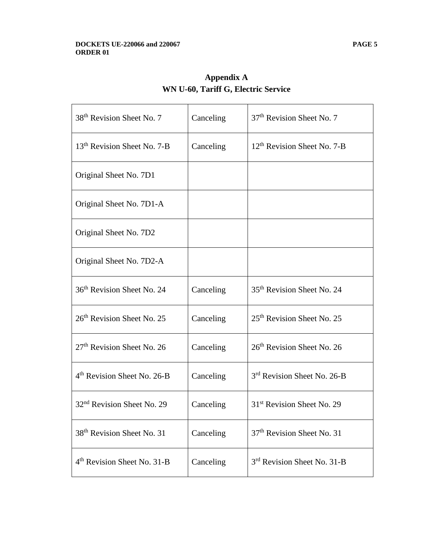| 38 <sup>th</sup> Revision Sheet No. 7   | Canceling | 37 <sup>th</sup> Revision Sheet No. 7   |
|-----------------------------------------|-----------|-----------------------------------------|
| 13 <sup>th</sup> Revision Sheet No. 7-B | Canceling | $12th$ Revision Sheet No. 7-B           |
| Original Sheet No. 7D1                  |           |                                         |
| Original Sheet No. 7D1-A                |           |                                         |
| Original Sheet No. 7D2                  |           |                                         |
| Original Sheet No. 7D2-A                |           |                                         |
| 36 <sup>th</sup> Revision Sheet No. 24  | Canceling | 35 <sup>th</sup> Revision Sheet No. 24  |
| 26 <sup>th</sup> Revision Sheet No. 25  | Canceling | 25 <sup>th</sup> Revision Sheet No. 25  |
| 27 <sup>th</sup> Revision Sheet No. 26  | Canceling | 26 <sup>th</sup> Revision Sheet No. 26  |
| 4 <sup>th</sup> Revision Sheet No. 26-B | Canceling | 3 <sup>rd</sup> Revision Sheet No. 26-B |
| 32 <sup>nd</sup> Revision Sheet No. 29  | Canceling | 31 <sup>st</sup> Revision Sheet No. 29  |
| 38 <sup>th</sup> Revision Sheet No. 31  | Canceling | 37 <sup>th</sup> Revision Sheet No. 31  |
| 4 <sup>th</sup> Revision Sheet No. 31-B | Canceling | 3 <sup>rd</sup> Revision Sheet No. 31-B |

**Appendix A WN U-60, Tariff G, Electric Service**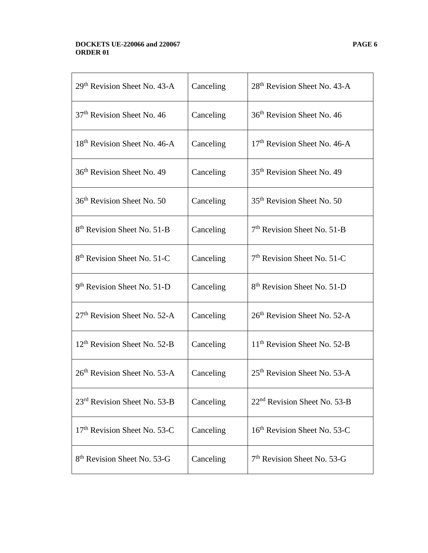#### **DOCKETS UE-220066 and 220067 PAGE 6 ORDER 01**

| $29th$ Revision Sheet No. 43-A           | Canceling | 28 <sup>th</sup> Revision Sheet No. 43-A |
|------------------------------------------|-----------|------------------------------------------|
| 37 <sup>th</sup> Revision Sheet No. 46   | Canceling | 36 <sup>th</sup> Revision Sheet No. 46   |
| 18 <sup>th</sup> Revision Sheet No. 46-A | Canceling | 17 <sup>th</sup> Revision Sheet No. 46-A |
| 36 <sup>th</sup> Revision Sheet No. 49   | Canceling | 35 <sup>th</sup> Revision Sheet No. 49   |
| 36 <sup>th</sup> Revision Sheet No. 50   | Canceling | 35 <sup>th</sup> Revision Sheet No. 50   |
| 8 <sup>th</sup> Revision Sheet No. 51-B  | Canceling | $7th$ Revision Sheet No. 51-B            |
| 8 <sup>th</sup> Revision Sheet No. 51-C  | Canceling | $7th$ Revision Sheet No. 51-C            |
| 9 <sup>th</sup> Revision Sheet No. 51-D  | Canceling | 8 <sup>th</sup> Revision Sheet No. 51-D  |
| $27th$ Revision Sheet No. 52-A           | Canceling | $26th$ Revision Sheet No. 52-A           |
| 12 <sup>th</sup> Revision Sheet No. 52-B | Canceling | 11 <sup>th</sup> Revision Sheet No. 52-B |
| $26th$ Revision Sheet No. 53-A           | Canceling | $25th$ Revision Sheet No. 53-A           |
| 23 <sup>rd</sup> Revision Sheet No. 53-B | Canceling | 22 <sup>nd</sup> Revision Sheet No. 53-B |
| 17 <sup>th</sup> Revision Sheet No. 53-C | Canceling | 16 <sup>th</sup> Revision Sheet No. 53-C |
| 8 <sup>th</sup> Revision Sheet No. 53-G  | Canceling | $7th$ Revision Sheet No. 53-G            |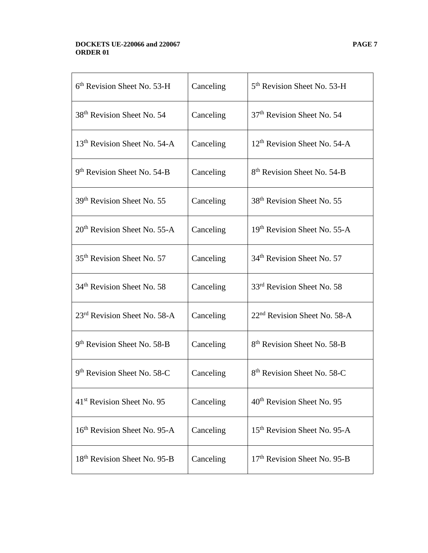#### **DOCKETS UE-220066 and 220067 PAGE 7 ORDER 01**

| $6th$ Revision Sheet No. 53-H            | Canceling | 5 <sup>th</sup> Revision Sheet No. 53-H  |
|------------------------------------------|-----------|------------------------------------------|
| 38 <sup>th</sup> Revision Sheet No. 54   | Canceling | 37 <sup>th</sup> Revision Sheet No. 54   |
| 13 <sup>th</sup> Revision Sheet No. 54-A | Canceling | $12th$ Revision Sheet No. 54-A           |
| 9 <sup>th</sup> Revision Sheet No. 54-B  | Canceling | 8 <sup>th</sup> Revision Sheet No. 54-B  |
| 39 <sup>th</sup> Revision Sheet No. 55   | Canceling | 38 <sup>th</sup> Revision Sheet No. 55   |
| $20th$ Revision Sheet No. 55-A           | Canceling | 19th Revision Sheet No. 55-A             |
| 35 <sup>th</sup> Revision Sheet No. 57   | Canceling | 34 <sup>th</sup> Revision Sheet No. 57   |
| 34 <sup>th</sup> Revision Sheet No. 58   | Canceling | 33rd Revision Sheet No. 58               |
| 23 <sup>rd</sup> Revision Sheet No. 58-A | Canceling | 22 <sup>nd</sup> Revision Sheet No. 58-A |
| 9 <sup>th</sup> Revision Sheet No. 58-B  | Canceling | 8 <sup>th</sup> Revision Sheet No. 58-B  |
| 9 <sup>th</sup> Revision Sheet No. 58-C  | Canceling | 8 <sup>th</sup> Revision Sheet No. 58-C  |
| 41 <sup>st</sup> Revision Sheet No. 95   | Canceling | 40 <sup>th</sup> Revision Sheet No. 95   |
| 16 <sup>th</sup> Revision Sheet No. 95-A | Canceling | 15 <sup>th</sup> Revision Sheet No. 95-A |
| 18 <sup>th</sup> Revision Sheet No. 95-B | Canceling | 17 <sup>th</sup> Revision Sheet No. 95-B |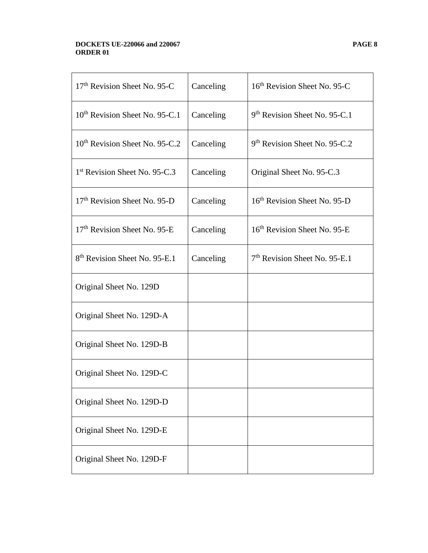#### **DOCKETS UE-220066 and 220067 PAGE 8 ORDER 01**

| 17th Revision Sheet No. 95-C               | Canceling | 16th Revision Sheet No. 95-C              |
|--------------------------------------------|-----------|-------------------------------------------|
| 10 <sup>th</sup> Revision Sheet No. 95-C.1 | Canceling | 9 <sup>th</sup> Revision Sheet No. 95-C.1 |
| 10 <sup>th</sup> Revision Sheet No. 95-C.2 | Canceling | 9th Revision Sheet No. 95-C.2             |
| 1 <sup>st</sup> Revision Sheet No. 95-C.3  | Canceling | Original Sheet No. 95-C.3                 |
| 17 <sup>th</sup> Revision Sheet No. 95-D   | Canceling | 16 <sup>th</sup> Revision Sheet No. 95-D  |
| 17 <sup>th</sup> Revision Sheet No. 95-E   | Canceling | 16 <sup>th</sup> Revision Sheet No. 95-E  |
| 8 <sup>th</sup> Revision Sheet No. 95-E.1  | Canceling | $7th$ Revision Sheet No. 95-E.1           |
| Original Sheet No. 129D                    |           |                                           |
| Original Sheet No. 129D-A                  |           |                                           |
| Original Sheet No. 129D-B                  |           |                                           |
| Original Sheet No. 129D-C                  |           |                                           |
| Original Sheet No. 129D-D                  |           |                                           |
| Original Sheet No. 129D-E                  |           |                                           |
| Original Sheet No. 129D-F                  |           |                                           |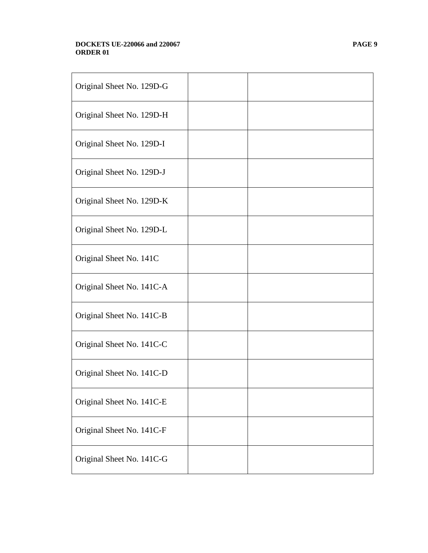#### **DOCKETS UE-220066 and 220067 PAGE 9 ORDER 01**

| Original Sheet No. 129D-G |  |
|---------------------------|--|
| Original Sheet No. 129D-H |  |
| Original Sheet No. 129D-I |  |
| Original Sheet No. 129D-J |  |
| Original Sheet No. 129D-K |  |
| Original Sheet No. 129D-L |  |
| Original Sheet No. 141C   |  |
| Original Sheet No. 141C-A |  |
| Original Sheet No. 141C-B |  |
| Original Sheet No. 141C-C |  |
| Original Sheet No. 141C-D |  |
| Original Sheet No. 141C-E |  |
| Original Sheet No. 141C-F |  |
| Original Sheet No. 141C-G |  |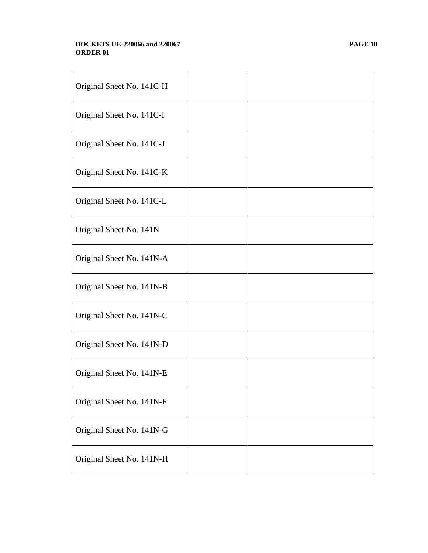#### **DOCKETS UE-220066 and 220067 PAGE 10 ORDER 01**

| Original Sheet No. 141C-H |  |
|---------------------------|--|
| Original Sheet No. 141C-I |  |
| Original Sheet No. 141C-J |  |
| Original Sheet No. 141C-K |  |
| Original Sheet No. 141C-L |  |
| Original Sheet No. 141N   |  |
| Original Sheet No. 141N-A |  |
| Original Sheet No. 141N-B |  |
| Original Sheet No. 141N-C |  |
| Original Sheet No. 141N-D |  |
| Original Sheet No. 141N-E |  |
| Original Sheet No. 141N-F |  |
| Original Sheet No. 141N-G |  |
| Original Sheet No. 141N-H |  |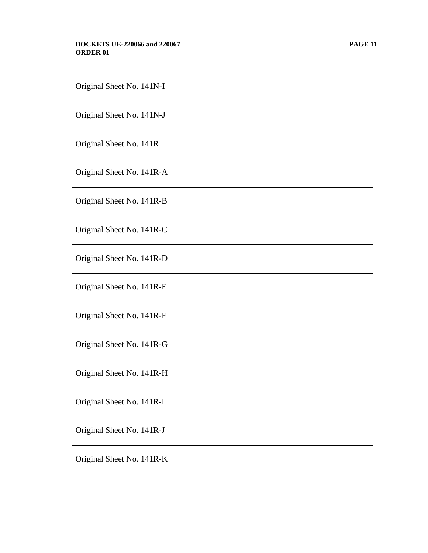#### **DOCKETS UE-220066 and 220067 PAGE 11 ORDER 01**

| Original Sheet No. 141N-I |  |
|---------------------------|--|
| Original Sheet No. 141N-J |  |
| Original Sheet No. 141R   |  |
| Original Sheet No. 141R-A |  |
| Original Sheet No. 141R-B |  |
| Original Sheet No. 141R-C |  |
| Original Sheet No. 141R-D |  |
| Original Sheet No. 141R-E |  |
| Original Sheet No. 141R-F |  |
| Original Sheet No. 141R-G |  |
| Original Sheet No. 141R-H |  |
| Original Sheet No. 141R-I |  |
| Original Sheet No. 141R-J |  |
| Original Sheet No. 141R-K |  |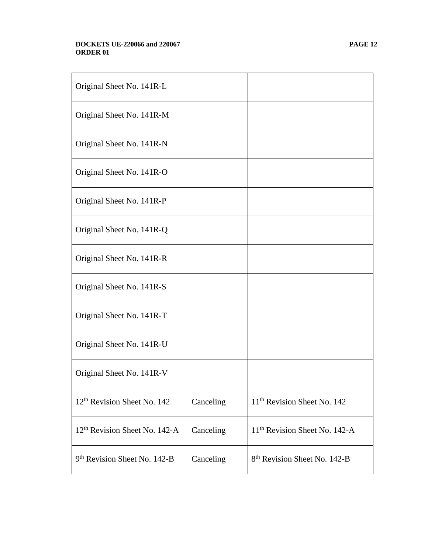#### **DOCKETS UE-220066 and 220067 PAGE 12 ORDER 01**

| Original Sheet No. 141R-L                 |           |                                           |
|-------------------------------------------|-----------|-------------------------------------------|
| Original Sheet No. 141R-M                 |           |                                           |
| Original Sheet No. 141R-N                 |           |                                           |
| Original Sheet No. 141R-O                 |           |                                           |
| Original Sheet No. 141R-P                 |           |                                           |
| Original Sheet No. 141R-Q                 |           |                                           |
| Original Sheet No. 141R-R                 |           |                                           |
| Original Sheet No. 141R-S                 |           |                                           |
| Original Sheet No. 141R-T                 |           |                                           |
| Original Sheet No. 141R-U                 |           |                                           |
| Original Sheet No. 141R-V                 |           |                                           |
| 12 <sup>th</sup> Revision Sheet No. 142   | Canceling | 11 <sup>th</sup> Revision Sheet No. 142   |
| 12 <sup>th</sup> Revision Sheet No. 142-A | Canceling | 11 <sup>th</sup> Revision Sheet No. 142-A |
| 9 <sup>th</sup> Revision Sheet No. 142-B  | Canceling | 8 <sup>th</sup> Revision Sheet No. 142-B  |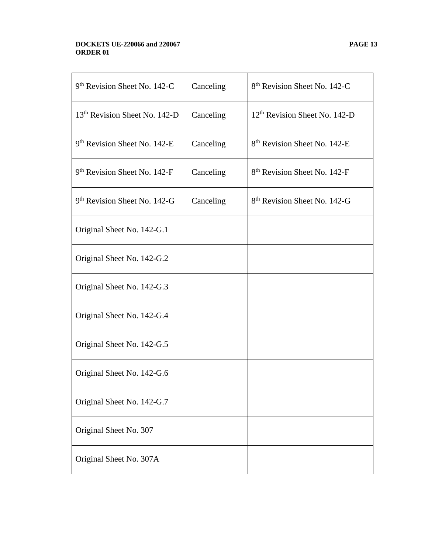#### **DOCKETS UE-220066 and 220067 PAGE 13 ORDER 01**

| 9 <sup>th</sup> Revision Sheet No. 142-C  | Canceling | 8 <sup>th</sup> Revision Sheet No. 142-C  |
|-------------------------------------------|-----------|-------------------------------------------|
| 13 <sup>th</sup> Revision Sheet No. 142-D | Canceling | 12 <sup>th</sup> Revision Sheet No. 142-D |
| 9 <sup>th</sup> Revision Sheet No. 142-E  | Canceling | 8 <sup>th</sup> Revision Sheet No. 142-E  |
| 9 <sup>th</sup> Revision Sheet No. 142-F  | Canceling | 8 <sup>th</sup> Revision Sheet No. 142-F  |
| 9 <sup>th</sup> Revision Sheet No. 142-G  | Canceling | 8 <sup>th</sup> Revision Sheet No. 142-G  |
| Original Sheet No. 142-G.1                |           |                                           |
| Original Sheet No. 142-G.2                |           |                                           |
| Original Sheet No. 142-G.3                |           |                                           |
| Original Sheet No. 142-G.4                |           |                                           |
| Original Sheet No. 142-G.5                |           |                                           |
| Original Sheet No. 142-G.6                |           |                                           |
| Original Sheet No. 142-G.7                |           |                                           |
| Original Sheet No. 307                    |           |                                           |
| Original Sheet No. 307A                   |           |                                           |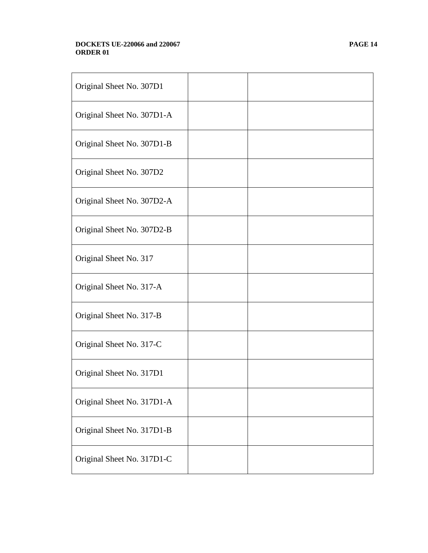#### **DOCKETS UE-220066 and 220067 PAGE 14 ORDER 01**

| Original Sheet No. 307D1   |  |
|----------------------------|--|
| Original Sheet No. 307D1-A |  |
| Original Sheet No. 307D1-B |  |
| Original Sheet No. 307D2   |  |
| Original Sheet No. 307D2-A |  |
| Original Sheet No. 307D2-B |  |
| Original Sheet No. 317     |  |
| Original Sheet No. 317-A   |  |
| Original Sheet No. 317-B   |  |
| Original Sheet No. 317-C   |  |
| Original Sheet No. 317D1   |  |
| Original Sheet No. 317D1-A |  |
| Original Sheet No. 317D1-B |  |
| Original Sheet No. 317D1-C |  |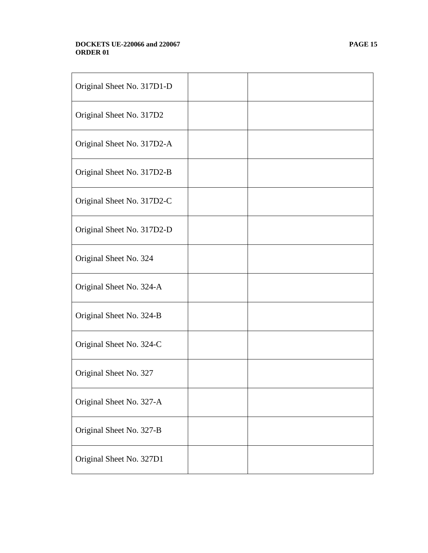#### **DOCKETS UE-220066 and 220067 PAGE 15 ORDER 01**

| Original Sheet No. 317D1-D |  |
|----------------------------|--|
| Original Sheet No. 317D2   |  |
| Original Sheet No. 317D2-A |  |
| Original Sheet No. 317D2-B |  |
| Original Sheet No. 317D2-C |  |
| Original Sheet No. 317D2-D |  |
| Original Sheet No. 324     |  |
| Original Sheet No. 324-A   |  |
| Original Sheet No. 324-B   |  |
| Original Sheet No. 324-C   |  |
| Original Sheet No. 327     |  |
| Original Sheet No. 327-A   |  |
| Original Sheet No. 327-B   |  |
| Original Sheet No. 327D1   |  |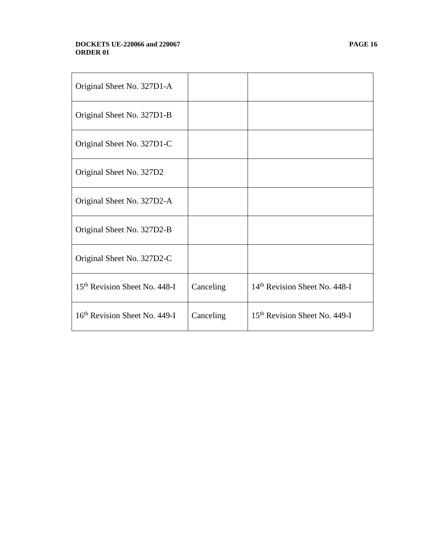#### **DOCKETS UE-220066 and 220067 PAGE 16 ORDER 01**

| Original Sheet No. 327D1-A                |           |                                           |
|-------------------------------------------|-----------|-------------------------------------------|
| Original Sheet No. 327D1-B                |           |                                           |
| Original Sheet No. 327D1-C                |           |                                           |
| Original Sheet No. 327D2                  |           |                                           |
| Original Sheet No. 327D2-A                |           |                                           |
| Original Sheet No. 327D2-B                |           |                                           |
| Original Sheet No. 327D2-C                |           |                                           |
| 15 <sup>th</sup> Revision Sheet No. 448-I | Canceling | 14 <sup>th</sup> Revision Sheet No. 448-I |
| 16 <sup>th</sup> Revision Sheet No. 449-I | Canceling | 15 <sup>th</sup> Revision Sheet No. 449-I |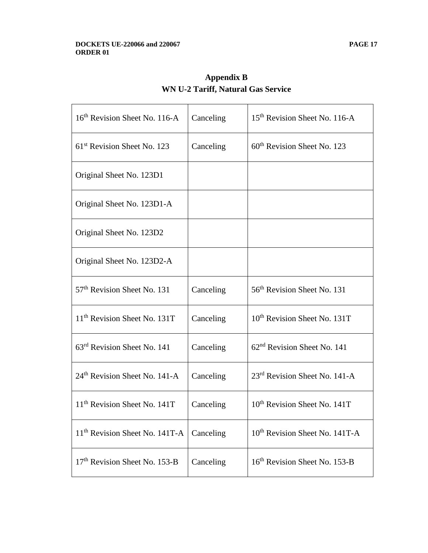| 16 <sup>th</sup> Revision Sheet No. 116-A  | Canceling | 15 <sup>th</sup> Revision Sheet No. 116-A  |
|--------------------------------------------|-----------|--------------------------------------------|
| 61 <sup>st</sup> Revision Sheet No. 123    | Canceling | 60 <sup>th</sup> Revision Sheet No. 123    |
| Original Sheet No. 123D1                   |           |                                            |
| Original Sheet No. 123D1-A                 |           |                                            |
| Original Sheet No. 123D2                   |           |                                            |
| Original Sheet No. 123D2-A                 |           |                                            |
| 57 <sup>th</sup> Revision Sheet No. 131    | Canceling | 56 <sup>th</sup> Revision Sheet No. 131    |
| 11 <sup>th</sup> Revision Sheet No. 131T   | Canceling | 10 <sup>th</sup> Revision Sheet No. 131T   |
| 63 <sup>rd</sup> Revision Sheet No. 141    | Canceling | 62 <sup>nd</sup> Revision Sheet No. 141    |
| 24 <sup>th</sup> Revision Sheet No. 141-A  | Canceling | 23 <sup>rd</sup> Revision Sheet No. 141-A  |
| 11 <sup>th</sup> Revision Sheet No. 141T   | Canceling | 10 <sup>th</sup> Revision Sheet No. 141T   |
| 11 <sup>th</sup> Revision Sheet No. 141T-A | Canceling | 10 <sup>th</sup> Revision Sheet No. 141T-A |
| 17 <sup>th</sup> Revision Sheet No. 153-B  | Canceling | 16 <sup>th</sup> Revision Sheet No. 153-B  |

**Appendix B WN U-2 Tariff, Natural Gas Service**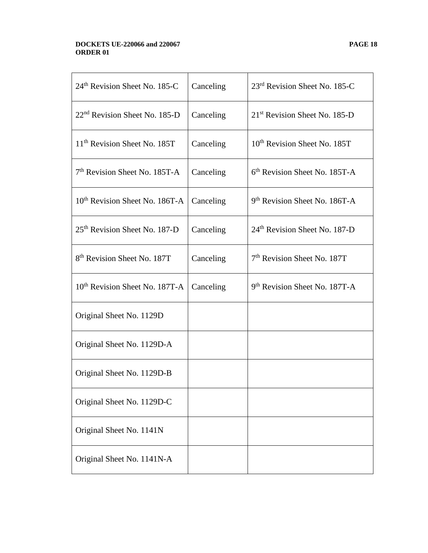#### **DOCKETS UE-220066 and 220067 PAGE 18 ORDER 01**

| 24 <sup>th</sup> Revision Sheet No. 185-C  | Canceling | 23 <sup>rd</sup> Revision Sheet No. 185-C |
|--------------------------------------------|-----------|-------------------------------------------|
| $22nd$ Revision Sheet No. 185-D            | Canceling | 21 <sup>st</sup> Revision Sheet No. 185-D |
| 11 <sup>th</sup> Revision Sheet No. 185T   | Canceling | 10 <sup>th</sup> Revision Sheet No. 185T  |
| $7th$ Revision Sheet No. 185T-A            | Canceling | $6th$ Revision Sheet No. 185T-A           |
| 10 <sup>th</sup> Revision Sheet No. 186T-A | Canceling | 9 <sup>th</sup> Revision Sheet No. 186T-A |
| 25 <sup>th</sup> Revision Sheet No. 187-D  | Canceling | 24 <sup>th</sup> Revision Sheet No. 187-D |
| 8 <sup>th</sup> Revision Sheet No. 187T    | Canceling | 7 <sup>th</sup> Revision Sheet No. 187T   |
| 10 <sup>th</sup> Revision Sheet No. 187T-A | Canceling | 9 <sup>th</sup> Revision Sheet No. 187T-A |
| Original Sheet No. 1129D                   |           |                                           |
| Original Sheet No. 1129D-A                 |           |                                           |
| Original Sheet No. 1129D-B                 |           |                                           |
| Original Sheet No. 1129D-C                 |           |                                           |
| Original Sheet No. 1141N                   |           |                                           |
| Original Sheet No. 1141N-A                 |           |                                           |